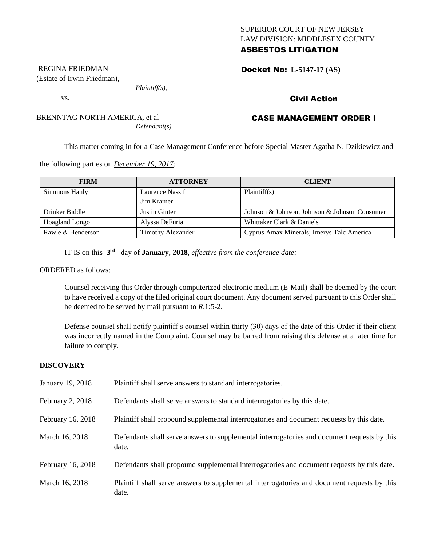# SUPERIOR COURT OF NEW JERSEY LAW DIVISION: MIDDLESEX COUNTY ASBESTOS LITIGATION

Docket No: **L-5147-17 (AS)** 

# Civil Action

# CASE MANAGEMENT ORDER I

This matter coming in for a Case Management Conference before Special Master Agatha N. Dzikiewicz and

the following parties on *December 19, 2017:*

| <b>FIRM</b>           | <b>ATTORNEY</b>   | <b>CLIENT</b>                                 |
|-----------------------|-------------------|-----------------------------------------------|
| Simmons Hanly         | Laurence Nassif   | Plaintiff(s)                                  |
|                       | Jim Kramer        |                                               |
| Drinker Biddle        | Justin Ginter     | Johnson & Johnson; Johnson & Johnson Consumer |
| <b>Hoagland Longo</b> | Alyssa DeFuria    | Whittaker Clark & Daniels                     |
| Rawle & Henderson     | Timothy Alexander | Cyprus Amax Minerals; Imerys Talc America     |

IT IS on this **3 rd** day of **January, 2018**, *effective from the conference date;*

ORDERED as follows:

Counsel receiving this Order through computerized electronic medium (E-Mail) shall be deemed by the court to have received a copy of the filed original court document. Any document served pursuant to this Order shall be deemed to be served by mail pursuant to *R*.1:5-2.

Defense counsel shall notify plaintiff's counsel within thirty (30) days of the date of this Order if their client was incorrectly named in the Complaint. Counsel may be barred from raising this defense at a later time for failure to comply.

#### **DISCOVERY**

| January 19, 2018  | Plaintiff shall serve answers to standard interrogatories.                                            |
|-------------------|-------------------------------------------------------------------------------------------------------|
| February 2, 2018  | Defendants shall serve answers to standard interrogatories by this date.                              |
| February 16, 2018 | Plaintiff shall propound supplemental interrogatories and document requests by this date.             |
| March 16, 2018    | Defendants shall serve answers to supplemental interrogatories and document requests by this<br>date. |
| February 16, 2018 | Defendants shall propound supplemental interrogatories and document requests by this date.            |
| March 16, 2018    | Plaintiff shall serve answers to supplemental interrogatories and document requests by this<br>date.  |

REGINA FRIEDMAN (Estate of Irwin Friedman),

vs.

BRENNTAG NORTH AMERICA, et al

*Plaintiff(s),*

*Defendant(s).*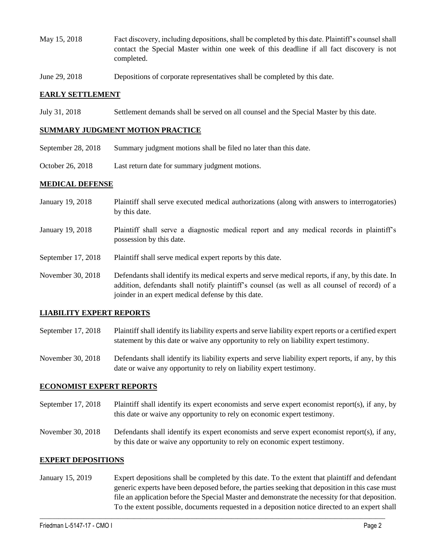- May 15, 2018 Fact discovery, including depositions, shall be completed by this date. Plaintiff's counsel shall contact the Special Master within one week of this deadline if all fact discovery is not completed.
- June 29, 2018 Depositions of corporate representatives shall be completed by this date.

#### **EARLY SETTLEMENT**

July 31, 2018 Settlement demands shall be served on all counsel and the Special Master by this date.

#### **SUMMARY JUDGMENT MOTION PRACTICE**

- September 28, 2018 Summary judgment motions shall be filed no later than this date.
- October 26, 2018 Last return date for summary judgment motions.

#### **MEDICAL DEFENSE**

- January 19, 2018 Plaintiff shall serve executed medical authorizations (along with answers to interrogatories) by this date.
- January 19, 2018 Plaintiff shall serve a diagnostic medical report and any medical records in plaintiff's possession by this date.
- September 17, 2018 Plaintiff shall serve medical expert reports by this date.
- November 30, 2018 Defendants shall identify its medical experts and serve medical reports, if any, by this date. In addition, defendants shall notify plaintiff's counsel (as well as all counsel of record) of a joinder in an expert medical defense by this date.

#### **LIABILITY EXPERT REPORTS**

- September 17, 2018 Plaintiff shall identify its liability experts and serve liability expert reports or a certified expert statement by this date or waive any opportunity to rely on liability expert testimony.
- November 30, 2018 Defendants shall identify its liability experts and serve liability expert reports, if any, by this date or waive any opportunity to rely on liability expert testimony.

### **ECONOMIST EXPERT REPORTS**

- September 17, 2018 Plaintiff shall identify its expert economists and serve expert economist report(s), if any, by this date or waive any opportunity to rely on economic expert testimony.
- November 30, 2018 Defendants shall identify its expert economists and serve expert economist report(s), if any, by this date or waive any opportunity to rely on economic expert testimony.

#### **EXPERT DEPOSITIONS**

January 15, 2019 Expert depositions shall be completed by this date. To the extent that plaintiff and defendant generic experts have been deposed before, the parties seeking that deposition in this case must file an application before the Special Master and demonstrate the necessity for that deposition. To the extent possible, documents requested in a deposition notice directed to an expert shall

 $\_$  ,  $\_$  ,  $\_$  ,  $\_$  ,  $\_$  ,  $\_$  ,  $\_$  ,  $\_$  ,  $\_$  ,  $\_$  ,  $\_$  ,  $\_$  ,  $\_$  ,  $\_$  ,  $\_$  ,  $\_$  ,  $\_$  ,  $\_$  ,  $\_$  ,  $\_$  ,  $\_$  ,  $\_$  ,  $\_$  ,  $\_$  ,  $\_$  ,  $\_$  ,  $\_$  ,  $\_$  ,  $\_$  ,  $\_$  ,  $\_$  ,  $\_$  ,  $\_$  ,  $\_$  ,  $\_$  ,  $\_$  ,  $\_$  ,